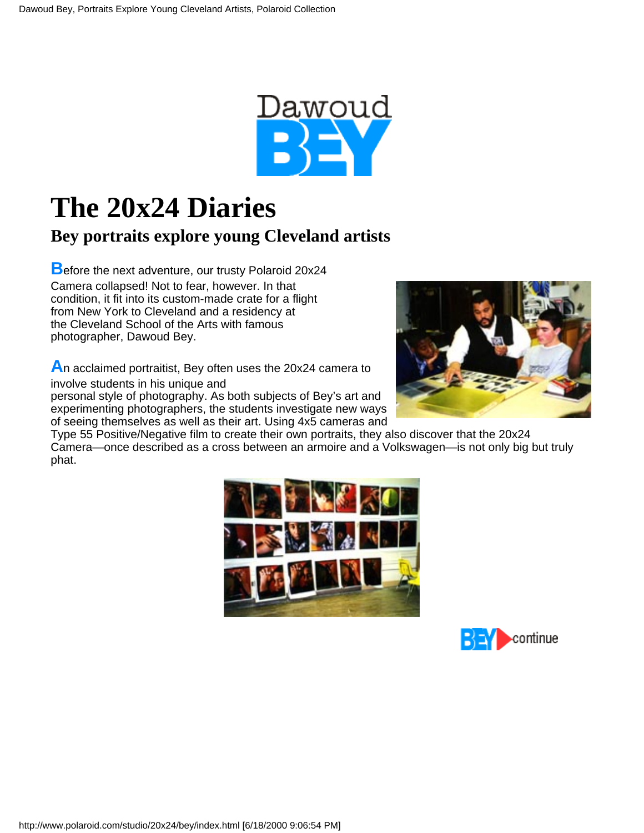

## **The 20x24 Diaries**

## **Bey portraits explore young Cleveland artists**

**B**efore the next adventure, our trusty Polaroid 20x24 Camera collapsed! Not to fear, however. In that condition, it fit into its custom-made crate for a flight from New York to Cleveland and a residency at the Cleveland School of the Arts with famous photographer, Dawoud Bey.

**A**n acclaimed portraitist, Bey often uses the 20x24 camera to

involve students in his unique and

personal style of photography. As both subjects of Bey's art and experimenting photographers, the students investigate new ways of seeing themselves as well as their art. Using 4x5 cameras and



Type 55 Positive/Negative film to create their own portraits, they also discover that the 20x24 Camera—once described as a cross between an armoire and a Volkswagen—is not only big but truly phat.



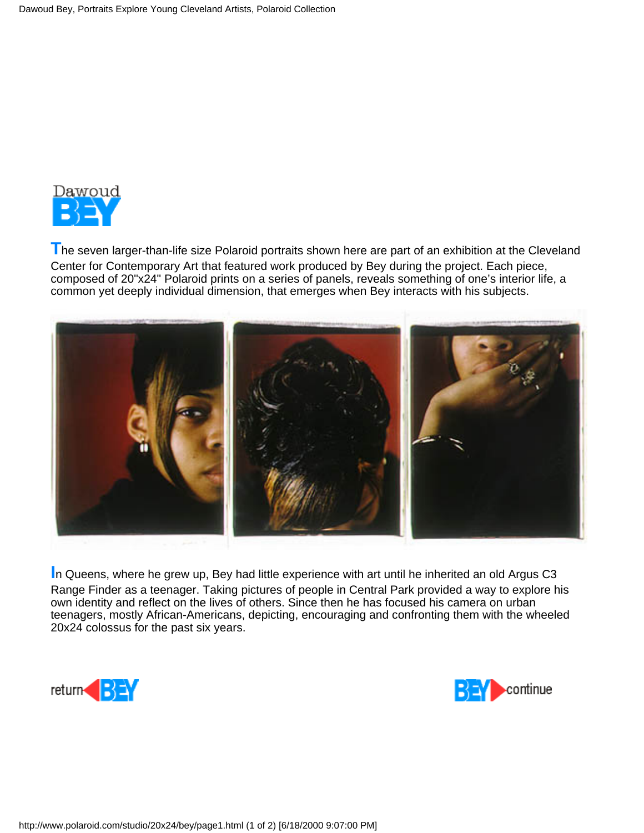

**The seven larger-than-life size Polaroid portraits shown here are part of an exhibition at the Cleveland** Center for Contemporary Art that featured work produced by Bey during the project. Each piece, composed of 20"x24" Polaroid prints on a series of panels, reveals something of one's interior life, a common yet deeply individual dimension, that emerges when Bey interacts with his subjects.



**I**n Queens, where he grew up, Bey had little experience with art until he inherited an old Argus C3 Range Finder as a teenager. Taking pictures of people in Central Park provided a way to explore his own identity and reflect on the lives of others. Since then he has focused his camera on urban teenagers, mostly African-Americans, depicting, encouraging and confronting them with the wheeled 20x24 colossus for the past six years.



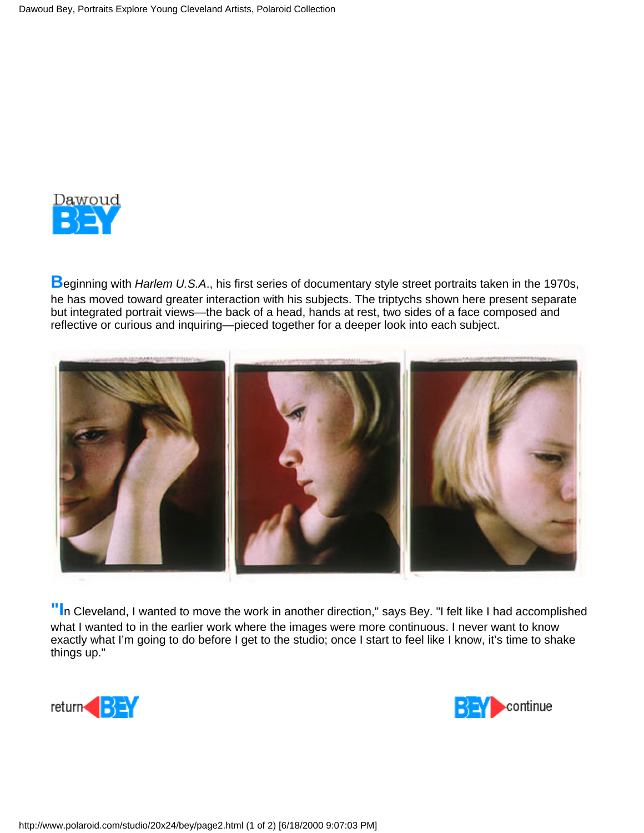

**B**eginning with *Harlem U.S.A*., his first series of documentary style street portraits taken in the 1970s, he has moved toward greater interaction with his subjects. The triptychs shown here present separate but integrated portrait views—the back of a head, hands at rest, two sides of a face composed and reflective or curious and inquiring—pieced together for a deeper look into each subject.



**"I**n Cleveland, I wanted to move the work in another direction," says Bey. "I felt like I had accomplished what I wanted to in the earlier work where the images were more continuous. I never want to know exactly what I'm going to do before I get to the studio; once I start to feel like I know, it's time to shake things up."



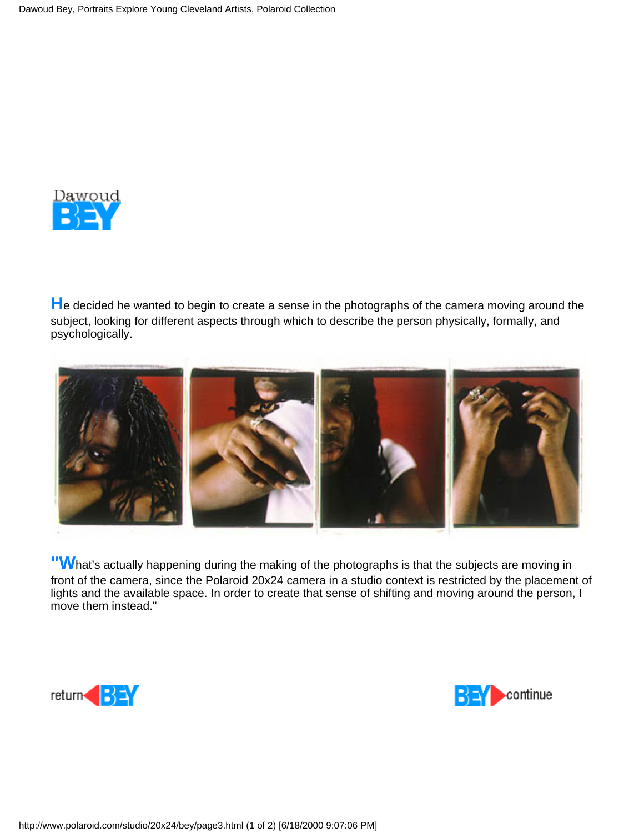

**H**e decided he wanted to begin to create a sense in the photographs of the camera moving around the subject, looking for different aspects through which to describe the person physically, formally, and psychologically.



**"W**hat's actually happening during the making of the photographs is that the subjects are moving in front of the camera, since the Polaroid 20x24 camera in a studio context is restricted by the placement of lights and the available space. In order to create that sense of shifting and moving around the person, I move them instead."



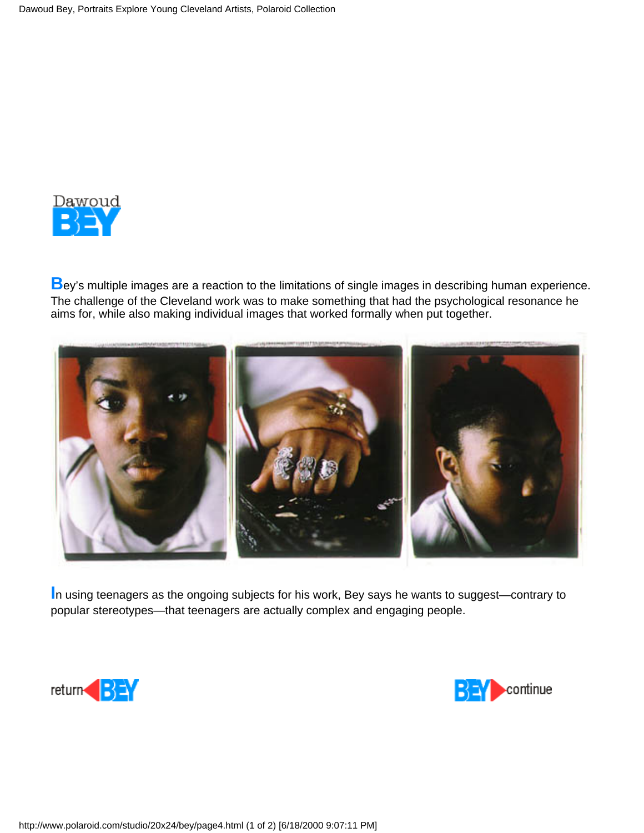

**B**ey's multiple images are a reaction to the limitations of single images in describing human experience. The challenge of the Cleveland work was to make something that had the psychological resonance he aims for, while also making individual images that worked formally when put together.



**I**n using teenagers as the ongoing subjects for his work, Bey says he wants to suggest—contrary to popular stereotypes—that teenagers are actually complex and engaging people.



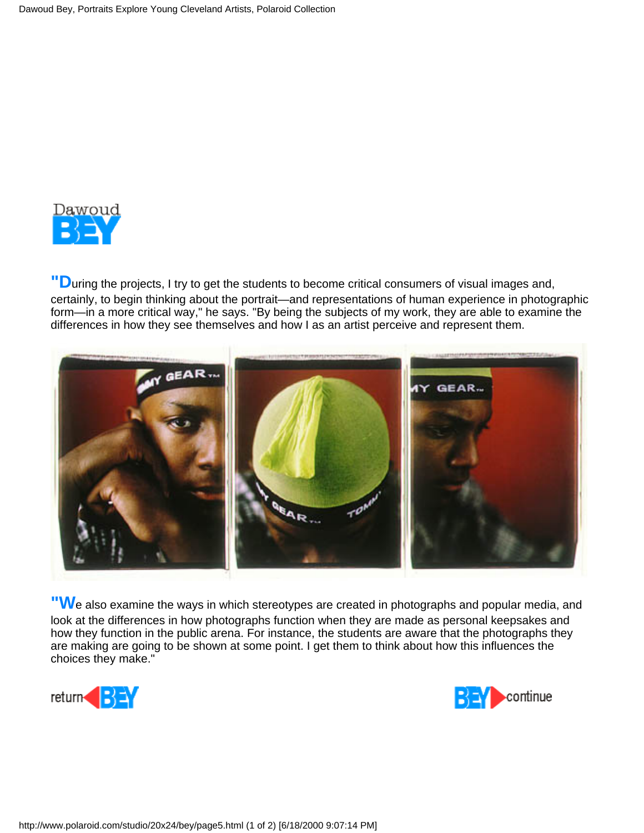

**"D**uring the projects, I try to get the students to become critical consumers of visual images and, certainly, to begin thinking about the portrait—and representations of human experience in photographic form—in a more critical way," he says. "By being the subjects of my work, they are able to examine the differences in how they see themselves and how I as an artist perceive and represent them.



**"W**e also examine the ways in which stereotypes are created in photographs and popular media, and look at the differences in how photographs function when they are made as personal keepsakes and how they function in the public arena. For instance, the students are aware that the photographs they are making are going to be shown at some point. I get them to think about how this influences the choices they make."